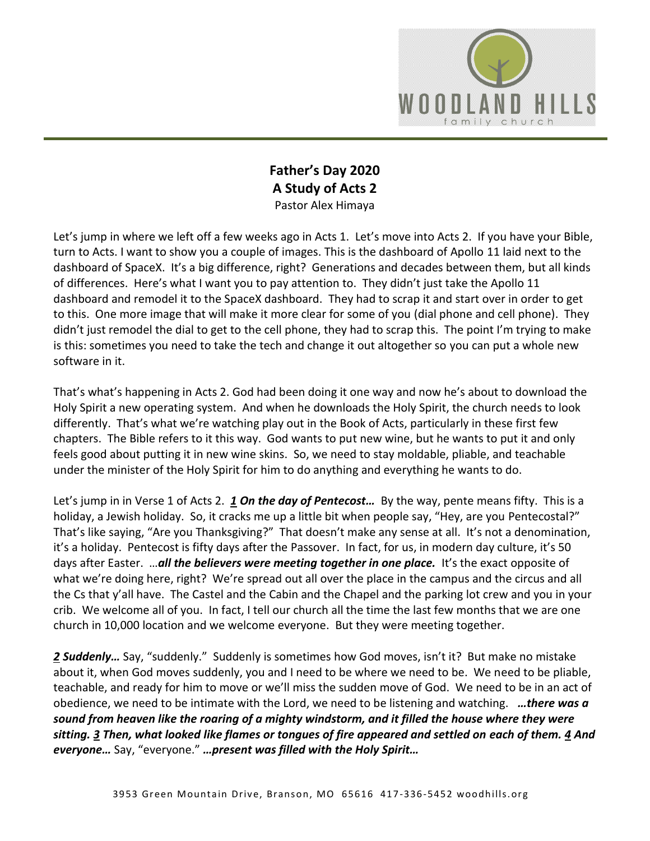

## **Father's Day 2020 A Study of Acts 2** Pastor Alex Himaya

Let's jump in where we left off a few weeks ago in Acts 1. Let's move into Acts 2. If you have your Bible, turn to Acts. I want to show you a couple of images. This is the dashboard of Apollo 11 laid next to the dashboard of SpaceX. It's a big difference, right? Generations and decades between them, but all kinds of differences. Here's what I want you to pay attention to. They didn't just take the Apollo 11 dashboard and remodel it to the SpaceX dashboard. They had to scrap it and start over in order to get to this. One more image that will make it more clear for some of you (dial phone and cell phone). They didn't just remodel the dial to get to the cell phone, they had to scrap this. The point I'm trying to make is this: sometimes you need to take the tech and change it out altogether so you can put a whole new software in it.

That's what's happening in Acts 2. God had been doing it one way and now he's about to download the Holy Spirit a new operating system. And when he downloads the Holy Spirit, the church needs to look differently. That's what we're watching play out in the Book of Acts, particularly in these first few chapters. The Bible refers to it this way. God wants to put new wine, but he wants to put it and only feels good about putting it in new wine skins. So, we need to stay moldable, pliable, and teachable under the minister of the Holy Spirit for him to do anything and everything he wants to do.

Let's jump in in Verse 1 of Acts 2. *[1](https://www.studylight.org/desk/?q=ac%202:1&t1=en_nlt&sr=1) On the day of Pentecost…* By the way, pente means fifty. This is a holiday, a Jewish holiday. So, it cracks me up a little bit when people say, "Hey, are you Pentecostal?" That's like saying, "Are you Thanksgiving?" That doesn't make any sense at all. It's not a denomination, it's a holiday. Pentecost is fifty days after the Passover. In fact, for us, in modern day culture, it's 50 days after Easter. …*all the believers were meeting together in one place.* It's the exact opposite of what we're doing here, right? We're spread out all over the place in the campus and the circus and all the Cs that y'all have. The Castel and the Cabin and the Chapel and the parking lot crew and you in your crib. We welcome all of you. In fact, I tell our church all the time the last few months that we are one church in 10,000 location and we welcome everyone. But they were meeting together.

*[2](https://www.studylight.org/desk/?q=ac%202:2&t1=en_nlt&sr=1) Suddenly…* Say, "suddenly." Suddenly is sometimes how God moves, isn't it? But make no mistake about it, when God moves suddenly, you and I need to be where we need to be. We need to be pliable, teachable, and ready for him to move or we'll miss the sudden move of God. We need to be in an act of obedience, we need to be intimate with the Lord, we need to be listening and watching. *…there was a sound from heaven like the roaring of a mighty windstorm, and it filled the house where they were sitting. [3](https://www.studylight.org/desk/?q=ac%202:3&t1=en_nlt&sr=1) Then, what looked like flames or tongues of fire appeared and settled on each of them. [4](https://www.studylight.org/desk/?q=ac%202:4&t1=en_nlt&sr=1) And everyone…* Say, "everyone." *…present was filled with the Holy Spirit…*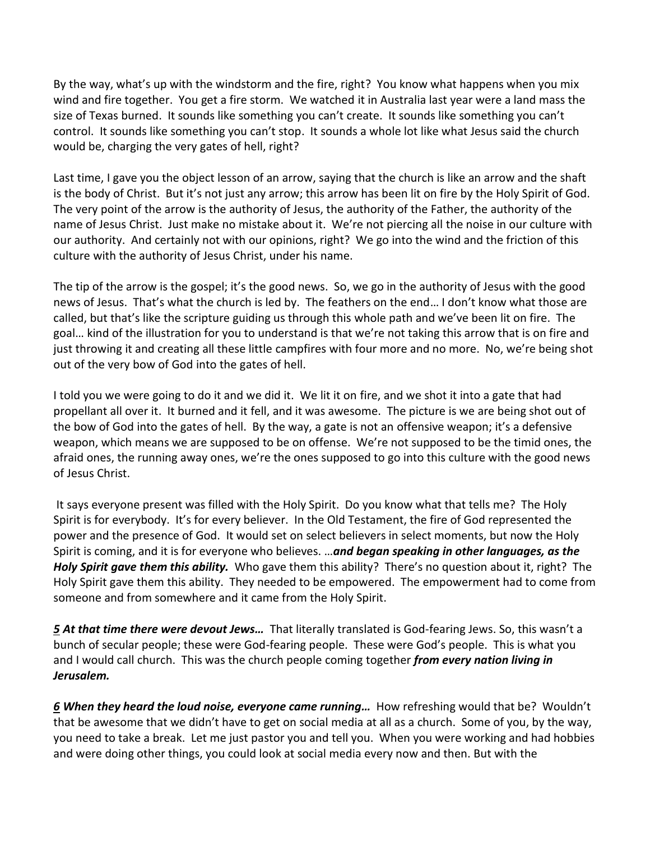By the way, what's up with the windstorm and the fire, right? You know what happens when you mix wind and fire together. You get a fire storm. We watched it in Australia last year were a land mass the size of Texas burned. It sounds like something you can't create. It sounds like something you can't control. It sounds like something you can't stop. It sounds a whole lot like what Jesus said the church would be, charging the very gates of hell, right?

Last time, I gave you the object lesson of an arrow, saying that the church is like an arrow and the shaft is the body of Christ. But it's not just any arrow; this arrow has been lit on fire by the Holy Spirit of God. The very point of the arrow is the authority of Jesus, the authority of the Father, the authority of the name of Jesus Christ. Just make no mistake about it. We're not piercing all the noise in our culture with our authority. And certainly not with our opinions, right? We go into the wind and the friction of this culture with the authority of Jesus Christ, under his name.

The tip of the arrow is the gospel; it's the good news. So, we go in the authority of Jesus with the good news of Jesus. That's what the church is led by. The feathers on the end… I don't know what those are called, but that's like the scripture guiding us through this whole path and we've been lit on fire. The goal… kind of the illustration for you to understand is that we're not taking this arrow that is on fire and just throwing it and creating all these little campfires with four more and no more. No, we're being shot out of the very bow of God into the gates of hell.

I told you we were going to do it and we did it. We lit it on fire, and we shot it into a gate that had propellant all over it. It burned and it fell, and it was awesome. The picture is we are being shot out of the bow of God into the gates of hell. By the way, a gate is not an offensive weapon; it's a defensive weapon, which means we are supposed to be on offense. We're not supposed to be the timid ones, the afraid ones, the running away ones, we're the ones supposed to go into this culture with the good news of Jesus Christ.

It says everyone present was filled with the Holy Spirit. Do you know what that tells me? The Holy Spirit is for everybody. It's for every believer. In the Old Testament, the fire of God represented the power and the presence of God. It would set on select believers in select moments, but now the Holy Spirit is coming, and it is for everyone who believes. …*and began speaking in other languages, as the Holy Spirit gave them this ability.* Who gave them this ability? There's no question about it, right? The Holy Spirit gave them this ability. They needed to be empowered. The empowerment had to come from someone and from somewhere and it came from the Holy Spirit.

*[5](https://www.studylight.org/desk/?q=ac%202:5&t1=en_nlt&sr=1) At that time there were devout Jews…* That literally translated is God-fearing Jews. So, this wasn't a bunch of secular people; these were God-fearing people. These were God's people. This is what you and I would call church. This was the church people coming together *from every nation living in Jerusalem.*

*[6](https://www.studylight.org/desk/?q=ac%202:6&t1=en_nlt&sr=1) When they heard the loud noise, everyone came running…* How refreshing would that be? Wouldn't that be awesome that we didn't have to get on social media at all as a church. Some of you, by the way, you need to take a break. Let me just pastor you and tell you. When you were working and had hobbies and were doing other things, you could look at social media every now and then. But with the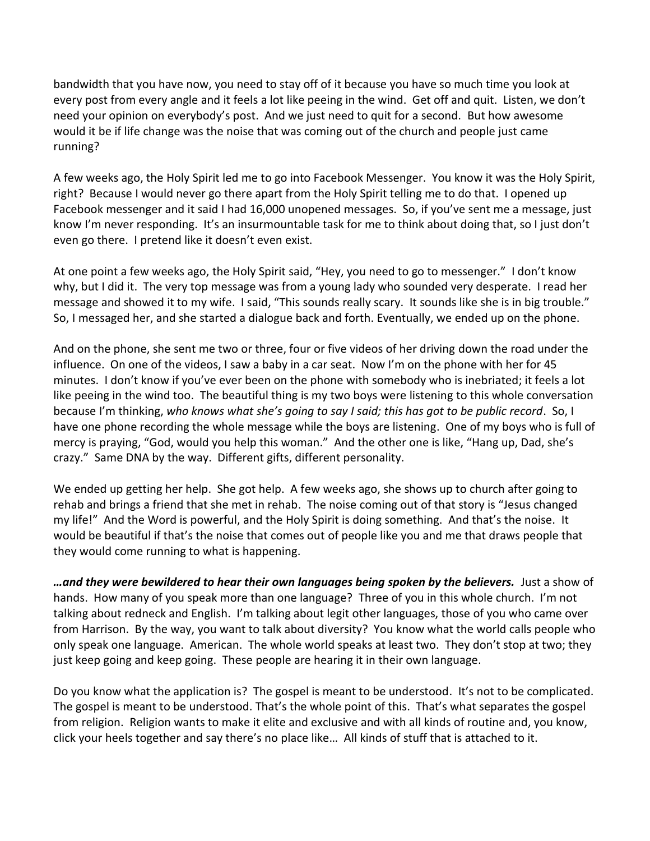bandwidth that you have now, you need to stay off of it because you have so much time you look at every post from every angle and it feels a lot like peeing in the wind. Get off and quit. Listen, we don't need your opinion on everybody's post. And we just need to quit for a second. But how awesome would it be if life change was the noise that was coming out of the church and people just came running?

A few weeks ago, the Holy Spirit led me to go into Facebook Messenger. You know it was the Holy Spirit, right? Because I would never go there apart from the Holy Spirit telling me to do that. I opened up Facebook messenger and it said I had 16,000 unopened messages. So, if you've sent me a message, just know I'm never responding. It's an insurmountable task for me to think about doing that, so I just don't even go there. I pretend like it doesn't even exist.

At one point a few weeks ago, the Holy Spirit said, "Hey, you need to go to messenger." I don't know why, but I did it. The very top message was from a young lady who sounded very desperate. I read her message and showed it to my wife. I said, "This sounds really scary. It sounds like she is in big trouble." So, I messaged her, and she started a dialogue back and forth. Eventually, we ended up on the phone.

And on the phone, she sent me two or three, four or five videos of her driving down the road under the influence. On one of the videos, I saw a baby in a car seat. Now I'm on the phone with her for 45 minutes. I don't know if you've ever been on the phone with somebody who is inebriated; it feels a lot like peeing in the wind too. The beautiful thing is my two boys were listening to this whole conversation because I'm thinking, *who knows what she's going to say I said; this has got to be public record*. So, I have one phone recording the whole message while the boys are listening. One of my boys who is full of mercy is praying, "God, would you help this woman." And the other one is like, "Hang up, Dad, she's crazy." Same DNA by the way. Different gifts, different personality.

We ended up getting her help. She got help. A few weeks ago, she shows up to church after going to rehab and brings a friend that she met in rehab. The noise coming out of that story is "Jesus changed my life!" And the Word is powerful, and the Holy Spirit is doing something. And that's the noise. It would be beautiful if that's the noise that comes out of people like you and me that draws people that they would come running to what is happening.

*…and they were bewildered to hear their own languages being spoken by the believers.* Just a show of hands. How many of you speak more than one language? Three of you in this whole church. I'm not talking about redneck and English. I'm talking about legit other languages, those of you who came over from Harrison. By the way, you want to talk about diversity? You know what the world calls people who only speak one language. American. The whole world speaks at least two. They don't stop at two; they just keep going and keep going. These people are hearing it in their own language.

Do you know what the application is? The gospel is meant to be understood. It's not to be complicated. The gospel is meant to be understood. That's the whole point of this. That's what separates the gospel from religion. Religion wants to make it elite and exclusive and with all kinds of routine and, you know, click your heels together and say there's no place like… All kinds of stuff that is attached to it.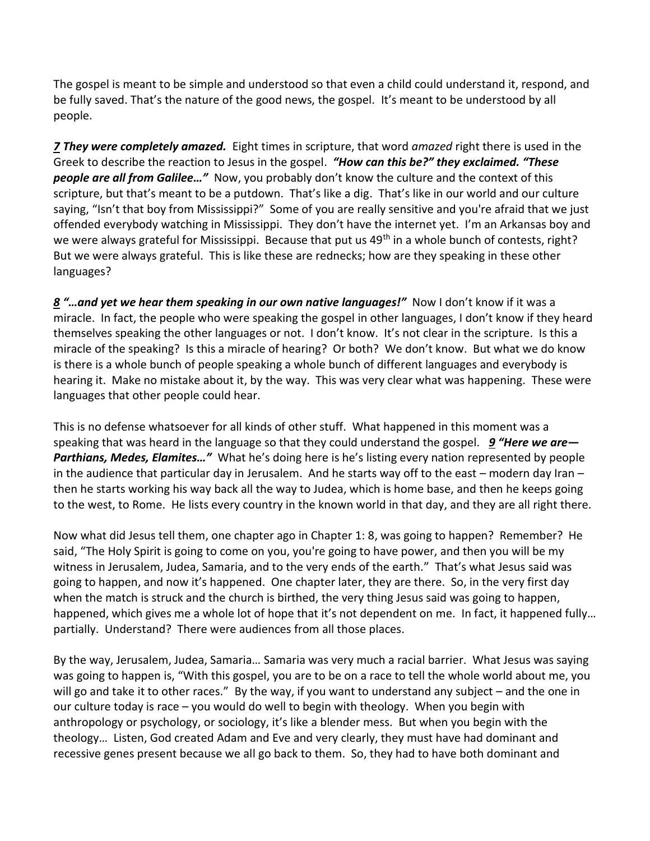The gospel is meant to be simple and understood so that even a child could understand it, respond, and be fully saved. That's the nature of the good news, the gospel. It's meant to be understood by all people.

*[7](https://www.studylight.org/desk/?q=ac%202:7&t1=en_nlt&sr=1) They were completely amazed.* Eight times in scripture, that word *amazed* right there is used in the Greek to describe the reaction to Jesus in the gospel. *"How can this be?" they exclaimed. "These people are all from Galilee…"* Now, you probably don't know the culture and the context of this scripture, but that's meant to be a putdown. That's like a dig. That's like in our world and our culture saying, "Isn't that boy from Mississippi?" Some of you are really sensitive and you're afraid that we just offended everybody watching in Mississippi. They don't have the internet yet. I'm an Arkansas boy and we were always grateful for Mississippi. Because that put us 49<sup>th</sup> in a whole bunch of contests, right? But we were always grateful. This is like these are rednecks; how are they speaking in these other languages?

*[8](https://www.studylight.org/desk/?q=ac%202:8&t1=en_nlt&sr=1) "…and yet we hear them speaking in our own native languages!"* Now I don't know if it was a miracle. In fact, the people who were speaking the gospel in other languages, I don't know if they heard themselves speaking the other languages or not. I don't know. It's not clear in the scripture. Is this a miracle of the speaking? Is this a miracle of hearing? Or both? We don't know. But what we do know is there is a whole bunch of people speaking a whole bunch of different languages and everybody is hearing it. Make no mistake about it, by the way. This was very clear what was happening. These were languages that other people could hear.

This is no defense whatsoever for all kinds of other stuff. What happened in this moment was a speaking that was heard in the language so that they could understand the gospel. *[9](https://www.studylight.org/desk/?q=ac%202:9&t1=en_nlt&sr=1) "Here we are— Parthians, Medes, Elamites…"* What he's doing here is he's listing every nation represented by people in the audience that particular day in Jerusalem. And he starts way off to the east – modern day Iran – then he starts working his way back all the way to Judea, which is home base, and then he keeps going to the west, to Rome. He lists every country in the known world in that day, and they are all right there.

Now what did Jesus tell them, one chapter ago in Chapter 1: 8, was going to happen? Remember? He said, "The Holy Spirit is going to come on you, you're going to have power, and then you will be my witness in Jerusalem, Judea, Samaria, and to the very ends of the earth." That's what Jesus said was going to happen, and now it's happened. One chapter later, they are there. So, in the very first day when the match is struck and the church is birthed, the very thing Jesus said was going to happen, happened, which gives me a whole lot of hope that it's not dependent on me. In fact, it happened fully… partially. Understand? There were audiences from all those places.

By the way, Jerusalem, Judea, Samaria… Samaria was very much a racial barrier. What Jesus was saying was going to happen is, "With this gospel, you are to be on a race to tell the whole world about me, you will go and take it to other races." By the way, if you want to understand any subject – and the one in our culture today is race – you would do well to begin with theology. When you begin with anthropology or psychology, or sociology, it's like a blender mess. But when you begin with the theology… Listen, God created Adam and Eve and very clearly, they must have had dominant and recessive genes present because we all go back to them. So, they had to have both dominant and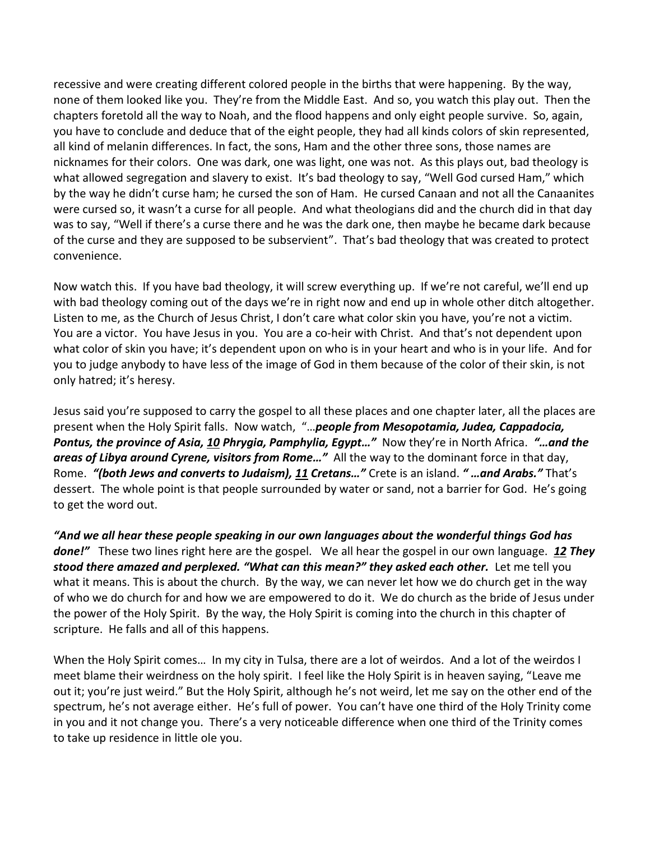recessive and were creating different colored people in the births that were happening. By the way, none of them looked like you. They're from the Middle East. And so, you watch this play out. Then the chapters foretold all the way to Noah, and the flood happens and only eight people survive. So, again, you have to conclude and deduce that of the eight people, they had all kinds colors of skin represented, all kind of melanin differences. In fact, the sons, Ham and the other three sons, those names are nicknames for their colors. One was dark, one was light, one was not. As this plays out, bad theology is what allowed segregation and slavery to exist. It's bad theology to say, "Well God cursed Ham," which by the way he didn't curse ham; he cursed the son of Ham. He cursed Canaan and not all the Canaanites were cursed so, it wasn't a curse for all people. And what theologians did and the church did in that day was to say, "Well if there's a curse there and he was the dark one, then maybe he became dark because of the curse and they are supposed to be subservient". That's bad theology that was created to protect convenience.

Now watch this. If you have bad theology, it will screw everything up. If we're not careful, we'll end up with bad theology coming out of the days we're in right now and end up in whole other ditch altogether. Listen to me, as the Church of Jesus Christ, I don't care what color skin you have, you're not a victim. You are a victor. You have Jesus in you. You are a co-heir with Christ. And that's not dependent upon what color of skin you have; it's dependent upon on who is in your heart and who is in your life. And for you to judge anybody to have less of the image of God in them because of the color of their skin, is not only hatred; it's heresy.

Jesus said you're supposed to carry the gospel to all these places and one chapter later, all the places are present when the Holy Spirit falls. Now watch, "…*people from Mesopotamia, Judea, Cappadocia, Pontus, the province of Asia, [10](https://www.studylight.org/desk/?q=ac%202:10&t1=en_nlt&sr=1) Phrygia, Pamphylia, Egypt…"* Now they're in North Africa. *"…and the areas of Libya around Cyrene, visitors from Rome…"* All the way to the dominant force in that day, Rome. *"(both Jews and converts to Judaism), [11](https://www.studylight.org/desk/?q=ac%202:11&t1=en_nlt&sr=1) Cretans…"* Crete is an island. *" …and Arabs."* That's dessert. The whole point is that people surrounded by water or sand, not a barrier for God. He's going to get the word out.

*"And we all hear these people speaking in our own languages about the wonderful things God has done!"* These two lines right here are the gospel. We all hear the gospel in our own language. *[12](https://www.studylight.org/desk/?q=ac%202:12&t1=en_nlt&sr=1) They stood there amazed and perplexed. "What can this mean?" they asked each other.* Let me tell you what it means. This is about the church. By the way, we can never let how we do church get in the way of who we do church for and how we are empowered to do it. We do church as the bride of Jesus under the power of the Holy Spirit. By the way, the Holy Spirit is coming into the church in this chapter of scripture. He falls and all of this happens.

When the Holy Spirit comes… In my city in Tulsa, there are a lot of weirdos. And a lot of the weirdos I meet blame their weirdness on the holy spirit. I feel like the Holy Spirit is in heaven saying, "Leave me out it; you're just weird." But the Holy Spirit, although he's not weird, let me say on the other end of the spectrum, he's not average either. He's full of power. You can't have one third of the Holy Trinity come in you and it not change you. There's a very noticeable difference when one third of the Trinity comes to take up residence in little ole you.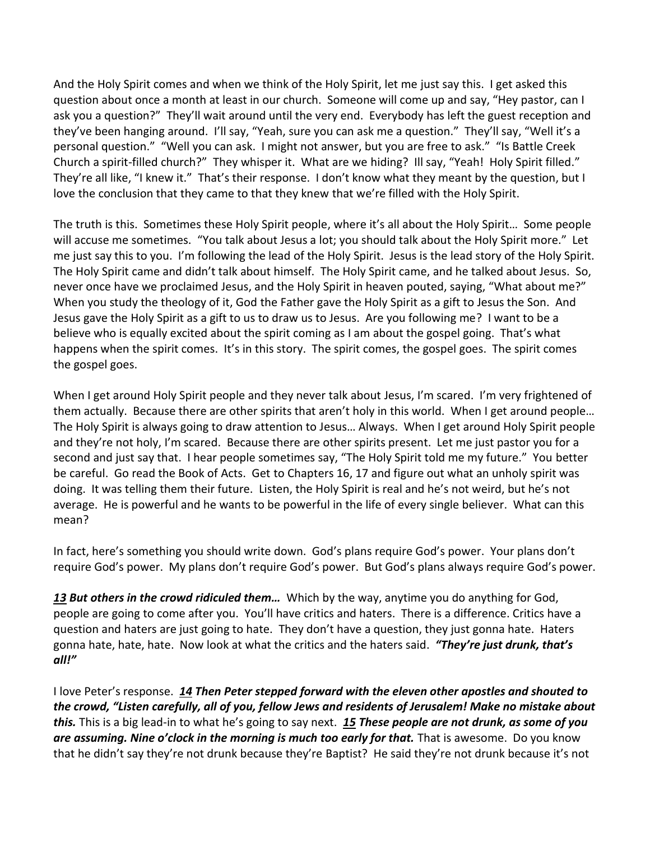And the Holy Spirit comes and when we think of the Holy Spirit, let me just say this. I get asked this question about once a month at least in our church. Someone will come up and say, "Hey pastor, can I ask you a question?" They'll wait around until the very end. Everybody has left the guest reception and they've been hanging around. I'll say, "Yeah, sure you can ask me a question." They'll say, "Well it's a personal question." "Well you can ask. I might not answer, but you are free to ask." "Is Battle Creek Church a spirit-filled church?" They whisper it. What are we hiding? Ill say, "Yeah! Holy Spirit filled." They're all like, "I knew it." That's their response. I don't know what they meant by the question, but I love the conclusion that they came to that they knew that we're filled with the Holy Spirit.

The truth is this. Sometimes these Holy Spirit people, where it's all about the Holy Spirit… Some people will accuse me sometimes. "You talk about Jesus a lot; you should talk about the Holy Spirit more." Let me just say this to you. I'm following the lead of the Holy Spirit. Jesus is the lead story of the Holy Spirit. The Holy Spirit came and didn't talk about himself. The Holy Spirit came, and he talked about Jesus. So, never once have we proclaimed Jesus, and the Holy Spirit in heaven pouted, saying, "What about me?" When you study the theology of it, God the Father gave the Holy Spirit as a gift to Jesus the Son. And Jesus gave the Holy Spirit as a gift to us to draw us to Jesus. Are you following me? I want to be a believe who is equally excited about the spirit coming as I am about the gospel going. That's what happens when the spirit comes. It's in this story. The spirit comes, the gospel goes. The spirit comes the gospel goes.

When I get around Holy Spirit people and they never talk about Jesus, I'm scared. I'm very frightened of them actually. Because there are other spirits that aren't holy in this world. When I get around people… The Holy Spirit is always going to draw attention to Jesus… Always. When I get around Holy Spirit people and they're not holy, I'm scared. Because there are other spirits present. Let me just pastor you for a second and just say that. I hear people sometimes say, "The Holy Spirit told me my future." You better be careful. Go read the Book of Acts. Get to Chapters 16, 17 and figure out what an unholy spirit was doing. It was telling them their future. Listen, the Holy Spirit is real and he's not weird, but he's not average. He is powerful and he wants to be powerful in the life of every single believer. What can this mean?

In fact, here's something you should write down. God's plans require God's power. Your plans don't require God's power. My plans don't require God's power. But God's plans always require God's power.

*[13](https://www.studylight.org/desk/?q=ac%202:13&t1=en_nlt&sr=1) But others in the crowd ridiculed them…* Which by the way, anytime you do anything for God, people are going to come after you. You'll have critics and haters. There is a difference. Critics have a question and haters are just going to hate. They don't have a question, they just gonna hate. Haters gonna hate, hate, hate. Now look at what the critics and the haters said. *"They're just drunk, that's all!"*

I love Peter's response. *[14](https://www.studylight.org/desk/?q=ac%202:14&t1=en_nlt&sr=1) Then Peter stepped forward with the eleven other apostles and shouted to the crowd, "Listen carefully, all of you, fellow Jews and residents of Jerusalem! Make no mistake about this.* This is a big lead-in to what he's going to say next. *[15](https://www.studylight.org/desk/?q=ac%202:15&t1=en_nlt&sr=1) These people are not drunk, as some of you are assuming. Nine o'clock in the morning is much too early for that.* That is awesome. Do you know that he didn't say they're not drunk because they're Baptist? He said they're not drunk because it's not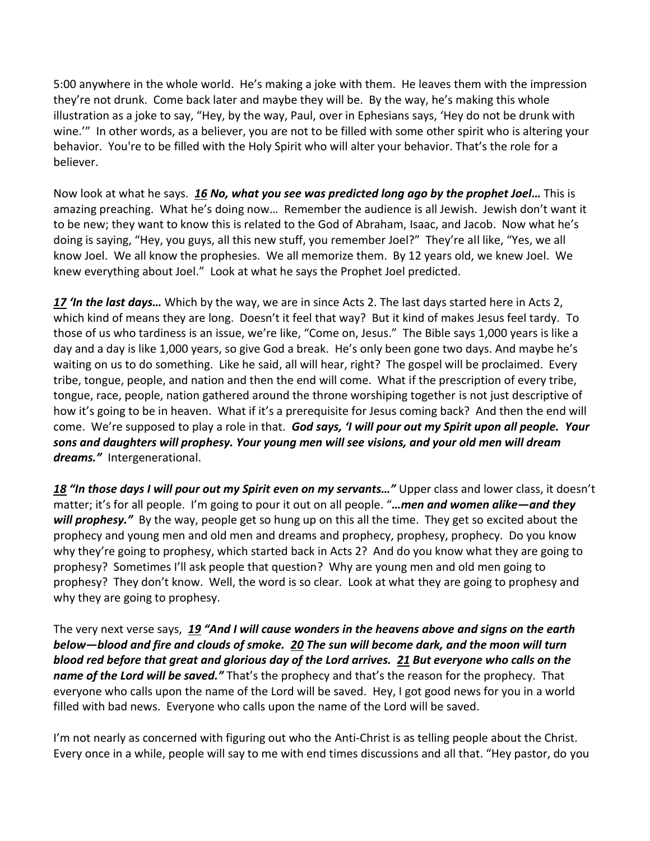5:00 anywhere in the whole world. He's making a joke with them. He leaves them with the impression they're not drunk. Come back later and maybe they will be. By the way, he's making this whole illustration as a joke to say, "Hey, by the way, Paul, over in Ephesians says, 'Hey do not be drunk with wine.'" In other words, as a believer, you are not to be filled with some other spirit who is altering your behavior. You're to be filled with the Holy Spirit who will alter your behavior. That's the role for a believer.

Now look at what he says. *[16](https://www.studylight.org/desk/?q=ac%202:16&t1=en_nlt&sr=1) No, what you see was predicted long ago by the prophet Joel…* This is amazing preaching. What he's doing now… Remember the audience is all Jewish. Jewish don't want it to be new; they want to know this is related to the God of Abraham, Isaac, and Jacob. Now what he's doing is saying, "Hey, you guys, all this new stuff, you remember Joel?" They're all like, "Yes, we all know Joel. We all know the prophesies. We all memorize them. By 12 years old, we knew Joel. We knew everything about Joel." Look at what he says the Prophet Joel predicted.

*[17](https://www.studylight.org/desk/?q=ac%202:17&t1=en_nlt&sr=1) 'In the last days…* Which by the way, we are in since Acts 2. The last days started here in Acts 2, which kind of means they are long. Doesn't it feel that way? But it kind of makes Jesus feel tardy. To those of us who tardiness is an issue, we're like, "Come on, Jesus." The Bible says 1,000 years is like a day and a day is like 1,000 years, so give God a break. He's only been gone two days. And maybe he's waiting on us to do something. Like he said, all will hear, right? The gospel will be proclaimed. Every tribe, tongue, people, and nation and then the end will come. What if the prescription of every tribe, tongue, race, people, nation gathered around the throne worshiping together is not just descriptive of how it's going to be in heaven. What if it's a prerequisite for Jesus coming back? And then the end will come. We're supposed to play a role in that. *God says, 'I will pour out my Spirit upon all people. Your sons and daughters will prophesy. Your young men will see visions, and your old men will dream dreams."* Intergenerational.

*[18](https://www.studylight.org/desk/?q=ac%202:18&t1=en_nlt&sr=1) "In those days I will pour out my Spirit even on my servants…"* Upper class and lower class, it doesn't matter; it's for all people. I'm going to pour it out on all people. "*…men and women alike—and they*  will prophesy." By the way, people get so hung up on this all the time. They get so excited about the prophecy and young men and old men and dreams and prophecy, prophesy, prophecy. Do you know why they're going to prophesy, which started back in Acts 2? And do you know what they are going to prophesy? Sometimes I'll ask people that question? Why are young men and old men going to prophesy? They don't know. Well, the word is so clear. Look at what they are going to prophesy and why they are going to prophesy.

The very next verse says, *[19](https://www.studylight.org/desk/?q=ac%202:19&t1=en_nlt&sr=1) "And I will cause wonders in the heavens above and signs on the earth below—blood and fire and clouds of smoke. [20](https://www.studylight.org/desk/?q=ac%202:20&t1=en_nlt&sr=1) The sun will become dark, and the moon will turn blood red before that great and glorious day of the Lord arrives. [21](https://www.studylight.org/desk/?q=ac%202:21&t1=en_nlt&sr=1) But everyone who calls on the name of the Lord will be saved."* That's the prophecy and that's the reason for the prophecy. That everyone who calls upon the name of the Lord will be saved. Hey, I got good news for you in a world filled with bad news. Everyone who calls upon the name of the Lord will be saved.

I'm not nearly as concerned with figuring out who the Anti-Christ is as telling people about the Christ. Every once in a while, people will say to me with end times discussions and all that. "Hey pastor, do you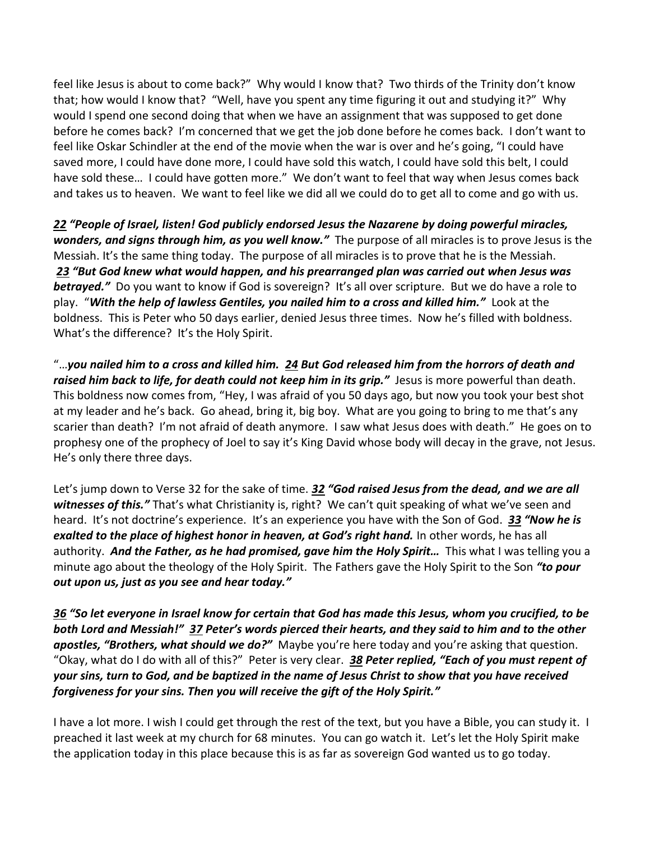feel like Jesus is about to come back?" Why would I know that? Two thirds of the Trinity don't know that; how would I know that? "Well, have you spent any time figuring it out and studying it?" Why would I spend one second doing that when we have an assignment that was supposed to get done before he comes back? I'm concerned that we get the job done before he comes back. I don't want to feel like Oskar Schindler at the end of the movie when the war is over and he's going, "I could have saved more, I could have done more, I could have sold this watch, I could have sold this belt, I could have sold these... I could have gotten more." We don't want to feel that way when Jesus comes back and takes us to heaven. We want to feel like we did all we could do to get all to come and go with us.

*[22](https://www.studylight.org/desk/?q=ac%202:22&t1=en_nlt&sr=1) "People of Israel, listen! God publicly endorsed Jesus the Nazarene by doing powerful miracles, wonders, and signs through him, as you well know."* The purpose of all miracles is to prove Jesus is the Messiah. It's the same thing today. The purpose of all miracles is to prove that he is the Messiah. *[23](https://www.studylight.org/desk/?q=ac%202:23&t1=en_nlt&sr=1) "But God knew what would happen, and his prearranged plan was carried out when Jesus was*  **betrayed.**" Do you want to know if God is sovereign? It's all over scripture. But we do have a role to play. "*With the help of lawless Gentiles, you nailed him to a cross and killed him."* Look at the boldness. This is Peter who 50 days earlier, denied Jesus three times. Now he's filled with boldness. What's the difference? It's the Holy Spirit.

"…*you nailed him to a cross and killed him. [24](https://www.studylight.org/desk/?q=ac%202:24&t1=en_nlt&sr=1) But God released him from the horrors of death and raised him back to life, for death could not keep him in its grip."* Jesus is more powerful than death. This boldness now comes from, "Hey, I was afraid of you 50 days ago, but now you took your best shot at my leader and he's back. Go ahead, bring it, big boy. What are you going to bring to me that's any scarier than death? I'm not afraid of death anymore. I saw what Jesus does with death." He goes on to prophesy one of the prophecy of Joel to say it's King David whose body will decay in the grave, not Jesus. He's only there three days.

Let's jump down to Verse 32 for the sake of time. *[32](https://www.studylight.org/desk/?q=ac%202:32&t1=en_nlt&sr=1) "God raised Jesus from the dead, and we are all*  witnesses of this." That's what Christianity is, right? We can't quit speaking of what we've seen and heard. It's not doctrine's experience. It's an experience you have with the Son of God. *[33](https://www.studylight.org/desk/?q=ac%202:33&t1=en_nlt&sr=1) "Now he is exalted to the place of highest honor in heaven, at God's right hand.* In other words, he has all authority. *And the Father, as he had promised, gave him the Holy Spirit…* This what I was telling you a minute ago about the theology of the Holy Spirit. The Fathers gave the Holy Spirit to the Son *"to pour out upon us, just as you see and hear today."*

*[36](https://www.studylight.org/desk/?q=ac%202:36&t1=en_nlt&sr=1) "So let everyone in Israel know for certain that God has made this Jesus, whom you crucified, to be both Lord and Messiah!" [37](https://www.studylight.org/desk/?q=ac%202:37&t1=en_nlt&sr=1) Peter's words pierced their hearts, and they said to him and to the other apostles, "Brothers, what should we do?"* Maybe you're here today and you're asking that question. "Okay, what do I do with all of this?" Peter is very clear. *[38](https://www.studylight.org/desk/?q=ac%202:38&t1=en_nlt&sr=1) Peter replied, "Each of you must repent of your sins, turn to God, and be baptized in the name of Jesus Christ to show that you have received forgiveness for your sins. Then you will receive the gift of the Holy Spirit."*

I have a lot more. I wish I could get through the rest of the text, but you have a Bible, you can study it. I preached it last week at my church for 68 minutes. You can go watch it. Let's let the Holy Spirit make the application today in this place because this is as far as sovereign God wanted us to go today.